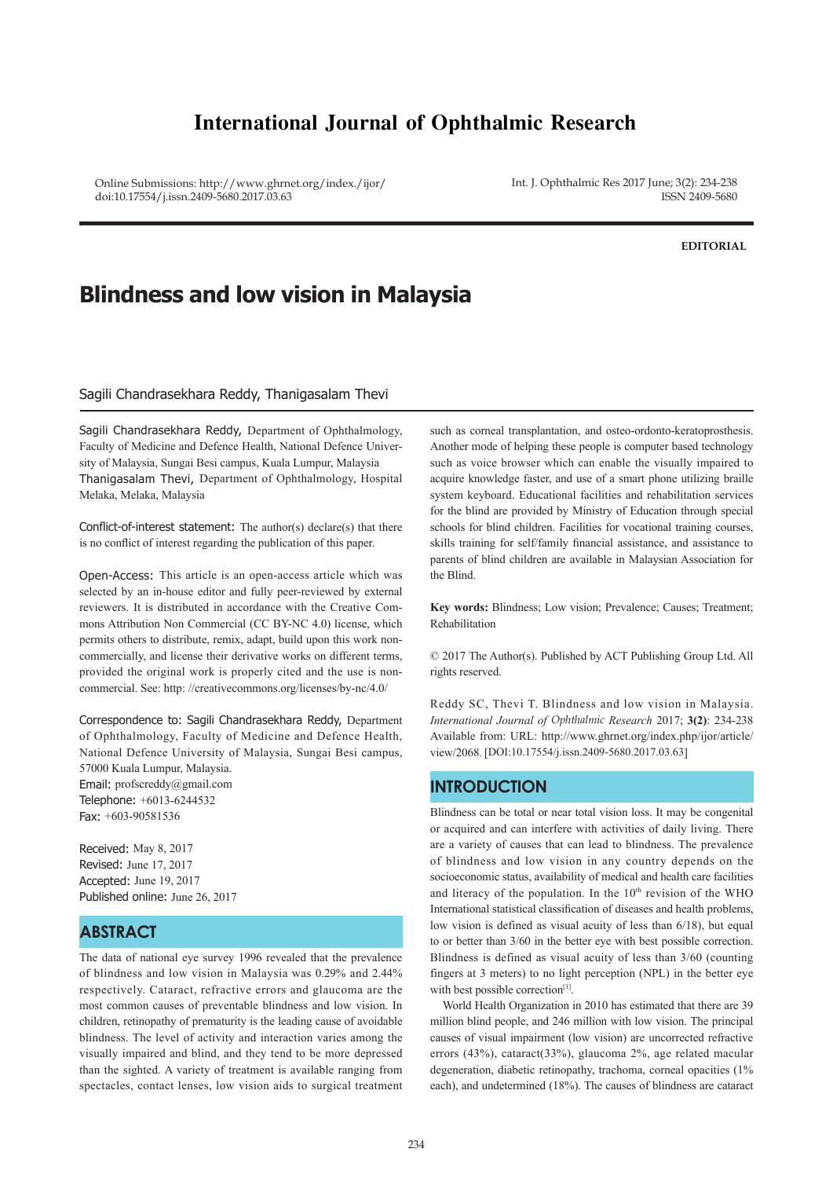# **International Journal of Ophthalmic Research**

Online Submissions: http://www.ghrnet.org/index./ijor/ doi:10.17554/j.issn.2409-5680.2017.03.63

Int. J. Ophthalmic Res 2017 June; 3(2): 234-238 ISSN 2409-5680

#### **EDITORIAL**

# **Blindness and low vision in Malaysia**

### Sagili Chandrasekhara Reddy, Thanigasalam Thevi

Sagili Chandrasekhara Reddy, Department of Ophthalmology, Faculty of Medicine and Defence Health, National Defence University of Malaysia, Sungai Besi campus, Kuala Lumpur, Malaysia Thanigasalam Thevi, Department of Ophthalmology, Hospital Melaka, Melaka, Malaysia

Conflict-of-interest statement: The author(s) declare(s) that there is no conflict of interest regarding the publication of this paper.

Open-Access: This article is an open-access article which was selected by an in-house editor and fully peer-reviewed by external reviewers. It is distributed in accordance with the Creative Commons Attribution Non Commercial (CC BY-NC 4.0) license, which permits others to distribute, remix, adapt, build upon this work noncommercially, and license their derivative works on different terms, provided the original work is properly cited and the use is noncommercial. See: http: //creativecommons.org/licenses/by-nc/4.0/

Correspondence to: Sagili Chandrasekhara Reddy, Department of Ophthalmology, Faculty of Medicine and Defence Health, National Defence University of Malaysia, Sungai Besi campus, 57000 Kuala Lumpur, Malaysia.

Email: profscreddy@gmail.com Telephone: +6013-6244532 Fax: +603-90581536

Received: May 8, 2017 Revised: June 17, 2017 Accepted: June 19, 2017 Published online: June 26, 2017

# **ABSTRACT**

The data of national eye survey 1996 revealed that the prevalence of blindness and low vision in Malaysia was 0.29% and 2.44% respectively. Cataract, refractive errors and glaucoma are the most common causes of preventable blindness and low vision. In children, retinopathy of prematurity is the leading cause of avoidable blindness. The level of activity and interaction varies among the visually impaired and blind, and they tend to be more depressed than the sighted. A variety of treatment is available ranging from spectacles, contact lenses, low vision aids to surgical treatment

such as corneal transplantation, and osteo-ordonto-keratoprosthesis. Another mode of helping these people is computer based technology such as voice browser which can enable the visually impaired to acquire knowledge faster, and use of a smart phone utilizing braille system keyboard. Educational facilities and rehabilitation services for the blind are provided by Ministry of Education through special schools for blind children. Facilities for vocational training courses, skills training for self/family financial assistance, and assistance to parents of blind children are available in Malaysian Association for the Blind.

**Key words:** Blindness; Low vision; Prevalence; Causes; Treatment; Rehabilitation

© 2017 The Author(s). Published by ACT Publishing Group Ltd. All rights reserved.

Reddy SC, Thevi T. Blindness and low vision in Malaysia. *International Journal of Ophthalmic Research* 2017; **3(2)**: 234-238 Available from: URL: http://www.ghrnet.org/index.php/ijor/article/ view/2068. [DOI:10.17554/j.issn.2409-5680.2017.03.63]

### **INTRODUCTION**

Blindness can be total or near total vision loss. It may be congenital or acquired and can interfere with activities of daily living. There are a variety of causes that can lead to blindness. The prevalence of blindness and low vision in any country depends on the socioeconomic status, availability of medical and health care facilities and literacy of the population. In the  $10<sup>th</sup>$  revision of the WHO International statistical classification of diseases and health problems, low vision is defined as visual acuity of less than 6/18), but equal to or better than 3/60 in the better eye with best possible correction. Blindness is defined as visual acuity of less than 3/60 (counting fingers at 3 meters) to no light perception (NPL) in the better eye with best possible correction<sup>[1]</sup>.

 World Health Organization in 2010 has estimated that there are 39 million blind people, and 246 million with low vision. The principal causes of visual impairment (low vision) are uncorrected refractive errors (43%), cataract(33%), glaucoma 2%, age related macular degeneration, diabetic retinopathy, trachoma, corneal opacities (1% each), and undetermined (18%). The causes of blindness are cataract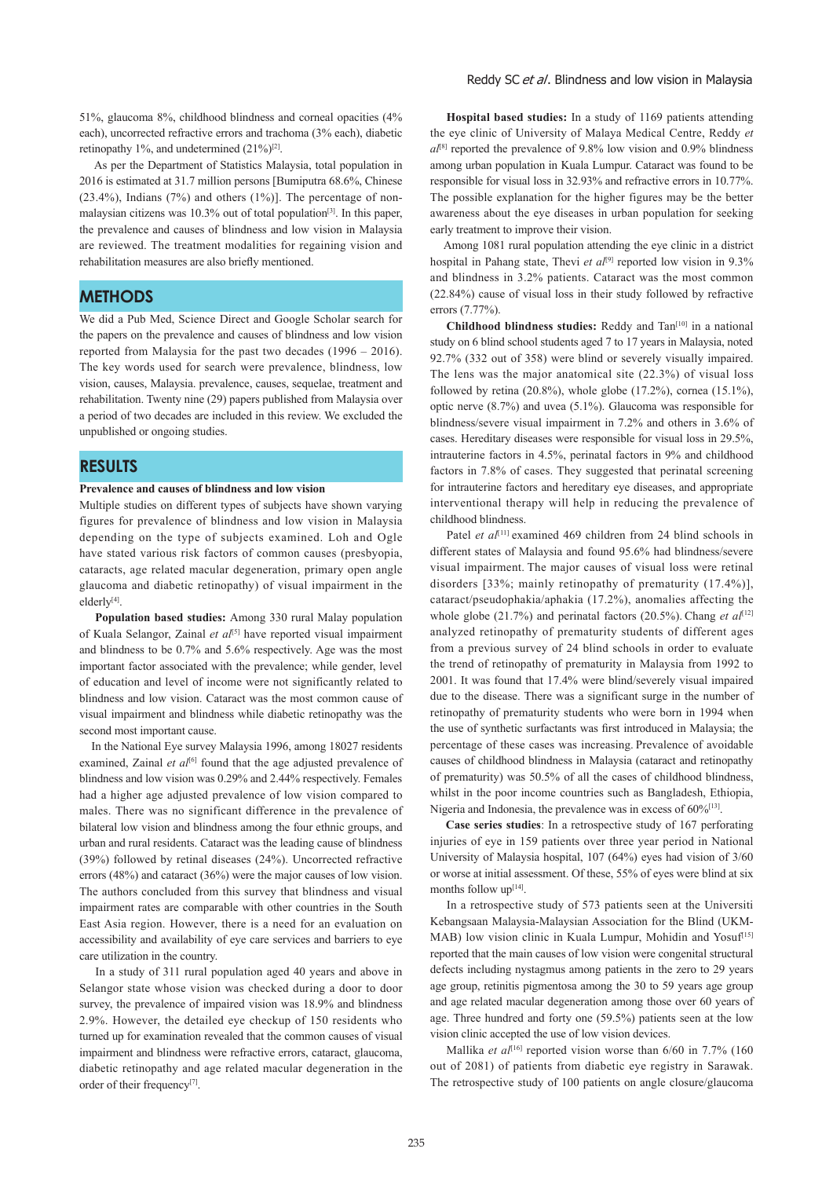51%, glaucoma 8%, childhood blindness and corneal opacities (4% each), uncorrected refractive errors and trachoma (3% each), diabetic retinopathy 1%, and undetermined  $(21\%)^{[2]}$ .

 As per the Department of Statistics Malaysia, total population in 2016 is estimated at 31.7 million persons [Bumiputra 68.6%, Chinese (23.4%), Indians (7%) and others (1%)]. The percentage of nonmalaysian citizens was 10.3% out of total population<sup>[3]</sup>. In this paper, the prevalence and causes of blindness and low vision in Malaysia are reviewed. The treatment modalities for regaining vision and rehabilitation measures are also briefly mentioned.

# **METHODS**

We did a Pub Med, Science Direct and Google Scholar search for the papers on the prevalence and causes of blindness and low vision reported from Malaysia for the past two decades (1996 – 2016). The key words used for search were prevalence, blindness, low vision, causes, Malaysia. prevalence, causes, sequelae, treatment and rehabilitation. Twenty nine (29) papers published from Malaysia over a period of two decades are included in this review. We excluded the unpublished or ongoing studies.

### **RESULTS**

### **Prevalence and causes of blindness and low vision**

Multiple studies on different types of subjects have shown varying figures for prevalence of blindness and low vision in Malaysia depending on the type of subjects examined. Loh and Ogle have stated various risk factors of common causes (presbyopia, cataracts, age related macular degeneration, primary open angle glaucoma and diabetic retinopathy) of visual impairment in the elderly<sup>[4]</sup>.

 **Population based studies:** Among 330 rural Malay population of Kuala Selangor, Zainal et al<sup>[5]</sup> have reported visual impairment and blindness to be 0.7% and 5.6% respectively. Age was the most important factor associated with the prevalence; while gender, level of education and level of income were not significantly related to blindness and low vision. Cataract was the most common cause of visual impairment and blindness while diabetic retinopathy was the second most important cause.

 In the National Eye survey Malaysia 1996, among 18027 residents examined, Zainal et al<sup>[6]</sup> found that the age adjusted prevalence of blindness and low vision was 0.29% and 2.44% respectively. Females had a higher age adjusted prevalence of low vision compared to males. There was no significant difference in the prevalence of bilateral low vision and blindness among the four ethnic groups, and urban and rural residents. Cataract was the leading cause of blindness (39%) followed by retinal diseases (24%). Uncorrected refractive errors (48%) and cataract (36%) were the major causes of low vision. The authors concluded from this survey that blindness and visual impairment rates are comparable with other countries in the South East Asia region. However, there is a need for an evaluation on accessibility and availability of eye care services and barriers to eye care utilization in the country.

 In a study of 311 rural population aged 40 years and above in Selangor state whose vision was checked during a door to door survey, the prevalence of impaired vision was 18.9% and blindness 2.9%. However, the detailed eye checkup of 150 residents who turned up for examination revealed that the common causes of visual impairment and blindness were refractive errors, cataract, glaucoma, diabetic retinopathy and age related macular degeneration in the order of their frequency<sup>[7]</sup>.

 **Hospital based studies:** In a study of 1169 patients attending the eye clinic of University of Malaya Medical Centre, Reddy *et*   $a^{[\n8]}$  reported the prevalence of 9.8% low vision and 0.9% blindness among urban population in Kuala Lumpur. Cataract was found to be responsible for visual loss in 32.93% and refractive errors in 10.77%. The possible explanation for the higher figures may be the better awareness about the eye diseases in urban population for seeking early treatment to improve their vision.

 Among 1081 rural population attending the eye clinic in a district hospital in Pahang state, Thevi et al<sup>[9]</sup> reported low vision in 9.3% and blindness in 3.2% patients. Cataract was the most common (22.84%) cause of visual loss in their study followed by refractive errors (7.77%).

 **Childhood blindness studies:** Reddy and Tan[10] in a national study on 6 blind school students aged 7 to 17 years in Malaysia, noted 92.7% (332 out of 358) were blind or severely visually impaired. The lens was the major anatomical site (22.3%) of visual loss followed by retina (20.8%), whole globe (17.2%), cornea (15.1%), optic nerve (8.7%) and uvea (5.1%). Glaucoma was responsible for blindness/severe visual impairment in 7.2% and others in 3.6% of cases. Hereditary diseases were responsible for visual loss in 29.5%, intrauterine factors in 4.5%, perinatal factors in 9% and childhood factors in 7.8% of cases. They suggested that perinatal screening for intrauterine factors and hereditary eye diseases, and appropriate interventional therapy will help in reducing the prevalence of childhood blindness.

Patel *et al*<sup>[11]</sup> examined 469 children from 24 blind schools in different states of Malaysia and found 95.6% had blindness/severe visual impairment. The major causes of visual loss were retinal disorders [33%; mainly retinopathy of prematurity (17.4%)], cataract/pseudophakia/aphakia (17.2%), anomalies affecting the whole globe (21.7%) and perinatal factors (20.5%). Chang et al<sup>[12]</sup> analyzed retinopathy of prematurity students of different ages from a previous survey of 24 blind schools in order to evaluate the trend of retinopathy of prematurity in Malaysia from 1992 to 2001. It was found that 17.4% were blind/severely visual impaired due to the disease. There was a significant surge in the number of retinopathy of prematurity students who were born in 1994 when the use of synthetic surfactants was first introduced in Malaysia; the percentage of these cases was increasing. Prevalence of avoidable causes of childhood blindness in Malaysia (cataract and retinopathy of prematurity) was 50.5% of all the cases of childhood blindness, whilst in the poor income countries such as Bangladesh, Ethiopia, Nigeria and Indonesia, the prevalence was in excess of  $60\%$ <sup>[13]</sup>.

 **Case series studies**: In a retrospective study of 167 perforating injuries of eye in 159 patients over three year period in National University of Malaysia hospital, 107 (64%) eyes had vision of 3/60 or worse at initial assessment. Of these, 55% of eyes were blind at six months follow up<sup>[14]</sup>.

 In a retrospective study of 573 patients seen at the Universiti Kebangsaan Malaysia-Malaysian Association for the Blind (UKM-MAB) low vision clinic in Kuala Lumpur, Mohidin and Yosuf<sup>[15]</sup> reported that the main causes of low vision were congenital structural defects including nystagmus among patients in the zero to 29 years age group, retinitis pigmentosa among the 30 to 59 years age group and age related macular degeneration among those over 60 years of age. Three hundred and forty one (59.5%) patients seen at the low vision clinic accepted the use of low vision devices.

Mallika et al<sup>[16]</sup> reported vision worse than 6/60 in 7.7% (160 out of 2081) of patients from diabetic eye registry in Sarawak. The retrospective study of 100 patients on angle closure/glaucoma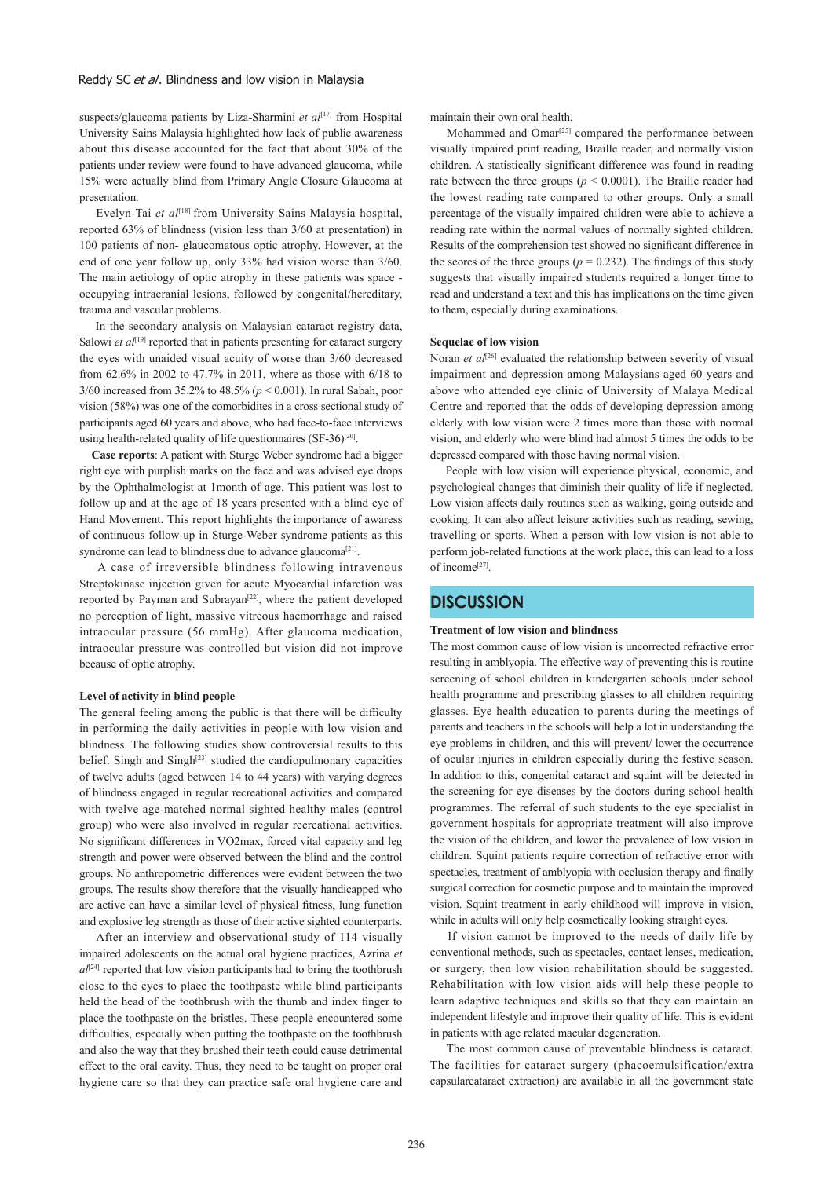#### Reddy SC et al. Blindness and low vision in Malaysia

suspects/glaucoma patients by Liza-Sharmini *et al*<sup>[17]</sup> from Hospital University Sains Malaysia highlighted how lack of public awareness about this disease accounted for the fact that about 30% of the patients under review were found to have advanced glaucoma, while 15% were actually blind from Primary Angle Closure Glaucoma at presentation.

Evelyn-Tai *et al*<sup>[18]</sup> from University Sains Malaysia hospital, reported 63% of blindness (vision less than 3/60 at presentation) in 100 patients of non- glaucomatous optic atrophy. However, at the end of one year follow up, only 33% had vision worse than 3/60. The main aetiology of optic atrophy in these patients was space occupying intracranial lesions, followed by congenital/hereditary, trauma and vascular problems.

 In the secondary analysis on Malaysian cataract registry data, Salowi *et al*<sup>[19]</sup> reported that in patients presenting for cataract surgery the eyes with unaided visual acuity of worse than 3/60 decreased from 62.6% in 2002 to 47.7% in 2011, where as those with 6/18 to 3/60 increased from 35.2% to 48.5% (*p* < 0.001). In rural Sabah, poor vision (58%) was one of the comorbidites in a cross sectional study of participants aged 60 years and above, who had face-to-face interviews using health-related quality of life questionnaires  $(SF-36)^{[20]}$ .

 **Case reports**: A patient with Sturge Weber syndrome had a bigger right eye with purplish marks on the face and was advised eye drops by the Ophthalmologist at 1month of age. This patient was lost to follow up and at the age of 18 years presented with a blind eye of Hand Movement. This report highlights the importance of awaress of continuous follow-up in Sturge-Weber syndrome patients as this syndrome can lead to blindness due to advance glaucoma<sup>[21]</sup>.

 A case of irreversible blindness following intravenous Streptokinase injection given for acute Myocardial infarction was reported by Payman and Subrayan<sup>[22]</sup>, where the patient developed no perception of light, massive vitreous haemorrhage and raised intraocular pressure (56 mmHg). After glaucoma medication, intraocular pressure was controlled but vision did not improve because of optic atrophy.

### **Level of activity in blind people**

The general feeling among the public is that there will be difficulty in performing the daily activities in people with low vision and blindness. The following studies show controversial results to this belief. Singh and Singh $[23]$  studied the cardiopulmonary capacities of twelve adults (aged between 14 to 44 years) with varying degrees of blindness engaged in regular recreational activities and compared with twelve age-matched normal sighted healthy males (control group) who were also involved in regular recreational activities. No significant differences in VO2max, forced vital capacity and leg strength and power were observed between the blind and the control groups. No anthropometric differences were evident between the two groups. The results show therefore that the visually handicapped who are active can have a similar level of physical fitness, lung function and explosive leg strength as those of their active sighted counterparts.

 After an interview and observational study of 114 visually impaired adolescents on the actual oral hygiene practices, Azrina *et*   $a^{[24]}$  reported that low vision participants had to bring the toothbrush close to the eyes to place the toothpaste while blind participants held the head of the toothbrush with the thumb and index finger to place the toothpaste on the bristles. These people encountered some difficulties, especially when putting the toothpaste on the toothbrush and also the way that they brushed their teeth could cause detrimental effect to the oral cavity. Thus, they need to be taught on proper oral hygiene care so that they can practice safe oral hygiene care and maintain their own oral health.

Mohammed and Omar<sup>[25]</sup> compared the performance between visually impaired print reading, Braille reader, and normally vision children. A statistically significant difference was found in reading rate between the three groups ( $p < 0.0001$ ). The Braille reader had the lowest reading rate compared to other groups. Only a small percentage of the visually impaired children were able to achieve a reading rate within the normal values of normally sighted children. Results of the comprehension test showed no significant difference in the scores of the three groups ( $p = 0.232$ ). The findings of this study suggests that visually impaired students required a longer time to read and understand a text and this has implications on the time given to them, especially during examinations.

#### **Sequelae of low vision**

Noran et al<sup>[26]</sup> evaluated the relationship between severity of visual impairment and depression among Malaysians aged 60 years and above who attended eye clinic of University of Malaya Medical Centre and reported that the odds of developing depression among elderly with low vision were 2 times more than those with normal vision, and elderly who were blind had almost 5 times the odds to be depressed compared with those having normal vision.

 People with low vision will experience physical, economic, and psychological changes that diminish their quality of life if neglected. Low vision affects daily routines such as walking, going outside and cooking. It can also affect leisure activities such as reading, sewing, travelling or sports. When a person with low vision is not able to perform job-related functions at the work place, this can lead to a loss of income[27].

### **DISCUSSION**

#### **Treatment of low vision and blindness**

The most common cause of low vision is uncorrected refractive error resulting in amblyopia. The effective way of preventing this is routine screening of school children in kindergarten schools under school health programme and prescribing glasses to all children requiring glasses. Eye health education to parents during the meetings of parents and teachers in the schools will help a lot in understanding the eye problems in children, and this will prevent/ lower the occurrence of ocular injuries in children especially during the festive season. In addition to this, congenital cataract and squint will be detected in the screening for eye diseases by the doctors during school health programmes. The referral of such students to the eye specialist in government hospitals for appropriate treatment will also improve the vision of the children, and lower the prevalence of low vision in children. Squint patients require correction of refractive error with spectacles, treatment of amblyopia with occlusion therapy and finally surgical correction for cosmetic purpose and to maintain the improved vision. Squint treatment in early childhood will improve in vision, while in adults will only help cosmetically looking straight eyes.

 If vision cannot be improved to the needs of daily life by conventional methods, such as spectacles, contact lenses, medication, or surgery, then low vision rehabilitation should be suggested. Rehabilitation with low vision aids will help these people to learn adaptive techniques and skills so that they can maintain an independent lifestyle and improve their quality of life. This is evident in patients with age related macular degeneration.

 The most common cause of preventable blindness is cataract. The facilities for cataract surgery (phacoemulsification/extra capsularcataract extraction) are available in all the government state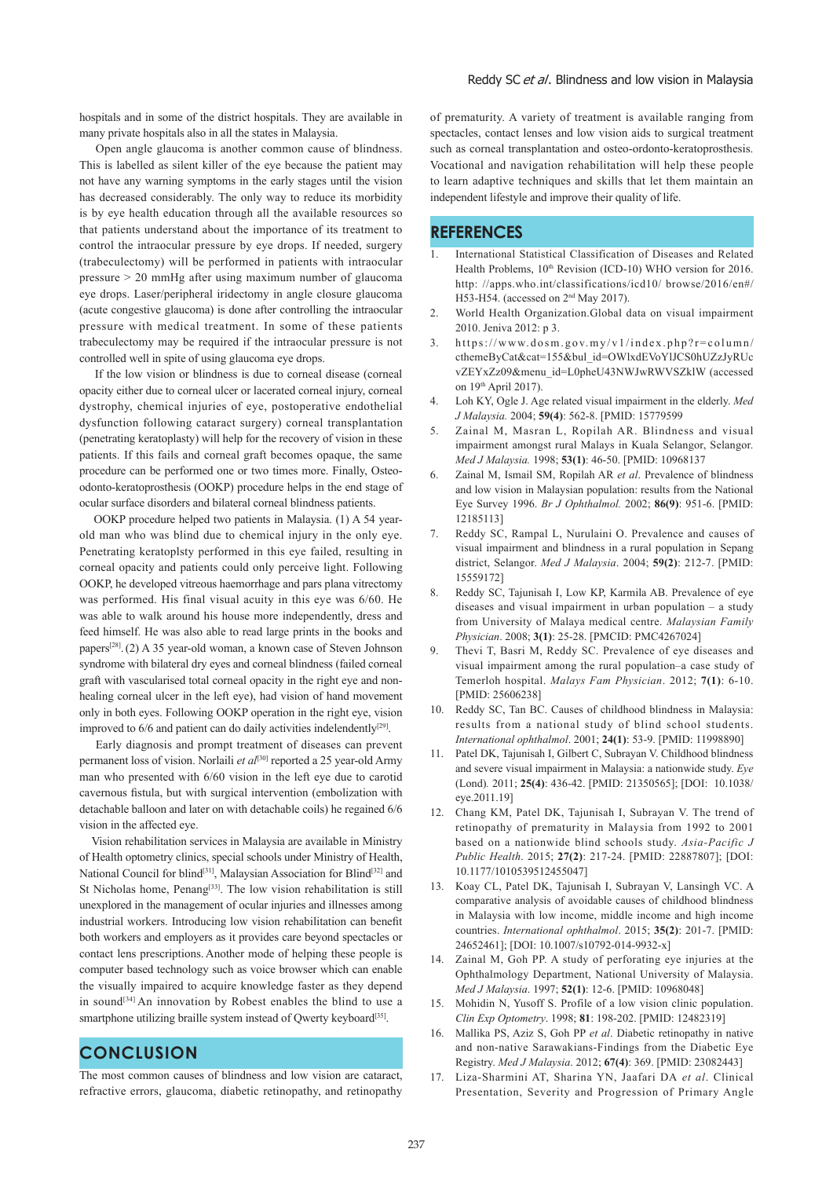hospitals and in some of the district hospitals. They are available in many private hospitals also in all the states in Malaysia.

 Open angle glaucoma is another common cause of blindness. This is labelled as silent killer of the eye because the patient may not have any warning symptoms in the early stages until the vision has decreased considerably. The only way to reduce its morbidity is by eye health education through all the available resources so that patients understand about the importance of its treatment to control the intraocular pressure by eye drops. If needed, surgery (trabeculectomy) will be performed in patients with intraocular pressure > 20 mmHg after using maximum number of glaucoma eye drops. Laser/peripheral iridectomy in angle closure glaucoma (acute congestive glaucoma) is done after controlling the intraocular pressure with medical treatment. In some of these patients trabeculectomy may be required if the intraocular pressure is not controlled well in spite of using glaucoma eye drops.

 If the low vision or blindness is due to corneal disease (corneal opacity either due to corneal ulcer or lacerated corneal injury, corneal dystrophy, chemical injuries of eye, postoperative endothelial dysfunction following cataract surgery) corneal transplantation (penetrating keratoplasty) will help for the recovery of vision in these patients. If this fails and corneal graft becomes opaque, the same procedure can be performed one or two times more. Finally, Osteoodonto-keratoprosthesis (OOKP) procedure helps in the end stage of ocular surface disorders and bilateral corneal blindness patients.

 OOKP procedure helped two patients in Malaysia. (1) A 54 yearold man who was blind due to chemical injury in the only eye. Penetrating keratoplsty performed in this eye failed, resulting in corneal opacity and patients could only perceive light. Following OOKP, he developed vitreous haemorrhage and pars plana vitrectomy was performed. His final visual acuity in this eye was 6/60. He was able to walk around his house more independently, dress and feed himself. He was also able to read large prints in the books and papers[28].(2) A 35 year-old woman, a known case of Steven Johnson syndrome with bilateral dry eyes and corneal blindness (failed corneal graft with vascularised total corneal opacity in the right eye and nonhealing corneal ulcer in the left eye), had vision of hand movement only in both eyes. Following OOKP operation in the right eye, vision improved to  $6/6$  and patient can do daily activities indelendently<sup>[29]</sup>.

 Early diagnosis and prompt treatment of diseases can prevent permanent loss of vision. Norlaili *et al*[30] reported a 25 year-old Army man who presented with 6/60 vision in the left eye due to carotid cavernous fistula, but with surgical intervention (embolization with detachable balloon and later on with detachable coils) he regained 6/6 vision in the affected eye.

 Vision rehabilitation services in Malaysia are available in Ministry of Health optometry clinics, special schools under Ministry of Health, National Council for blind<sup>[31]</sup>, Malaysian Association for Blind<sup>[32]</sup> and St Nicholas home, Penang<sup>[33]</sup>. The low vision rehabilitation is still unexplored in the management of ocular injuries and illnesses among industrial workers. Introducing low vision rehabilitation can benefit both workers and employers as it provides care beyond spectacles or contact lens prescriptions. Another mode of helping these people is computer based technology such as voice browser which can enable the visually impaired to acquire knowledge faster as they depend in sound<sup>[34]</sup> An innovation by Robest enables the blind to use a smartphone utilizing braille system instead of Qwerty keyboard<sup>[35]</sup>.

# **CONCLUSION**

The most common causes of blindness and low vision are cataract, refractive errors, glaucoma, diabetic retinopathy, and retinopathy of prematurity. A variety of treatment is available ranging from spectacles, contact lenses and low vision aids to surgical treatment such as corneal transplantation and osteo-ordonto-keratoprosthesis. Vocational and navigation rehabilitation will help these people to learn adaptive techniques and skills that let them maintain an independent lifestyle and improve their quality of life.

## **REFERENCES**

- 1. International Statistical Classification of Diseases and Related Health Problems,  $10^{th}$  Revision (ICD-10) WHO version for 2016. http: //apps.who.int/classifications/icd10/ browse/2016/en#/ H53-H54. (accessed on 2nd May 2017).
- 2. World Health Organization.Global data on visual impairment 2010. Jeniva 2012: p 3.
- 3. https://www.dosm.gov.my/v1/index.php?r=column/ cthemeByCat&cat=155&bul\_id=OWlxdEVoYlJCS0hUZzJyRUc vZEYxZz09&menu\_id=L0pheU43NWJwRWVSZklW (accessed on  $19<sup>th</sup>$  April 2017).
- 4. Loh KY, Ogle J. Age related visual impairment in the elderly. *Med J Malaysia.* 2004; **59(4)**: 562-8. [PMID: 15779599
- 5. Zainal M, Masran L, Ropilah AR. Blindness and visual impairment amongst rural Malays in Kuala Selangor, Selangor. *Med J Malaysia.* 1998; **53(1)**: 46-50. [PMID: 10968137
- 6. Zainal M, Ismail SM, Ropilah AR *et al*. Prevalence of blindness and low vision in Malaysian population: results from the National Eye Survey 1996. *Br J Ophthalmol.* 2002; **86(9)**: 951-6. [PMID: 12185113]
- 7. Reddy SC, Rampal L, Nurulaini O. Prevalence and causes of visual impairment and blindness in a rural population in Sepang district, Selangor. *Med J Malaysia*. 2004; **59(2)**: 212-7. [PMID: 15559172]
- 8. Reddy SC, Tajunisah I, Low KP, Karmila AB. Prevalence of eye diseases and visual impairment in urban population – a study from University of Malaya medical centre. *Malaysian Family Physician*. 2008; **3(1)**: 25-28. [PMCID: PMC4267024]
- Thevi T, Basri M, Reddy SC. Prevalence of eye diseases and visual impairment among the rural population–a case study of Temerloh hospital. *Malays Fam Physician*. 2012; **7(1)**: 6-10. [PMID: 25606238]
- 10. Reddy SC, Tan BC. Causes of childhood blindness in Malaysia: results from a national study of blind school students. *International ophthalmol*. 2001; **24(1)**: 53-9. [PMID: 11998890]
- Patel DK, Tajunisah I, Gilbert C, Subrayan V. Childhood blindness and severe visual impairment in Malaysia: a nationwide study. *Eye* (Lond)*.* 2011; **25(4)**: 436-42. [PMID: 21350565]; [DOI: 10.1038/ eye.2011.19]
- 12. Chang KM, Patel DK, Tajunisah I, Subrayan V. The trend of retinopathy of prematurity in Malaysia from 1992 to 2001 based on a nationwide blind schools study. *Asia-Pacific J Public Health*. 2015; **27(2)**: 217-24. [PMID: 22887807]; [DOI: 10.1177/1010539512455047]
- 13. Koay CL, Patel DK, Tajunisah I, Subrayan V, Lansingh VC. A comparative analysis of avoidable causes of childhood blindness in Malaysia with low income, middle income and high income countries. *International ophthalmol*. 2015; **35(2)**: 201-7. [PMID: 24652461]; [DOI: 10.1007/s10792-014-9932-x]
- 14. Zainal M, Goh PP. A study of perforating eye injuries at the Ophthalmology Department, National University of Malaysia. *Med J Malaysia*. 1997; **52(1)**: 12-6. [PMID: 10968048]
- 15. Mohidin N, Yusoff S. Profile of a low vision clinic population. *Clin Exp Optometry*. 1998; **81**: 198-202. [PMID: 12482319]
- 16. Mallika PS, Aziz S, Goh PP *et al*. Diabetic retinopathy in native and non-native Sarawakians-Findings from the Diabetic Eye Registry. *Med J Malaysia*. 2012; **67(4)**: 369. [PMID: 23082443]
- 17. Liza-Sharmini AT, Sharina YN, Jaafari DA *et al*. Clinical Presentation, Severity and Progression of Primary Angle